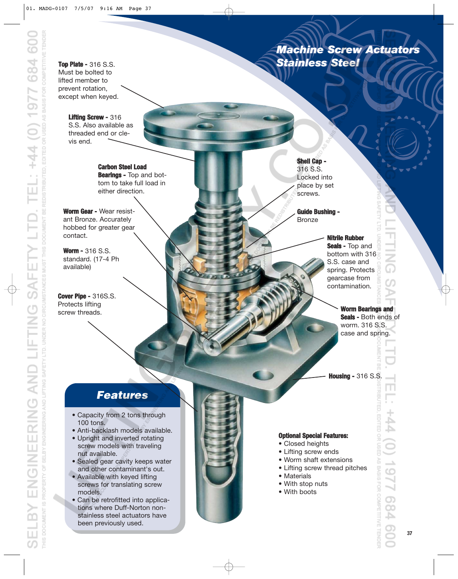**Top Plate -** 316 S.S. Must be bolted to lifted member to prevent rotation, except when keyed.

#### **Lifting Screw -** 316

S.S. Also available as threaded end or clevis end.

#### **Carbon Steel Load Bearings -** Top and bot-

tom to take full load in either direction.

**Worm Gear -** Wear resistant Bronze. Accurately hobbed for greater gear contact.

**Worm -** 316 S.S. standard. (17-4 Ph available)

**Cover Pipe -** 316S.S. Protects lifting screw threads.

#### **Shell Cap -** 316 S.S. Locked into place by set

screws.

**Guide Bushing -** Bronze

#### **Nitrile Rubber**

**Seals -** Top and bottom with 316 S.S. case and spring. Protects gearcase from contamination.

#### **Worm Bearings and**

**Seals -** Both ends of worm. 316 S.S. case and spring.

**Housing -** 316 S.S.

# **Features**

- Capacity from 2 tons through 100 tons.
- Anti-backlash models available.
- Upright and inverted rotating screw models with traveling nut available.
- Sealed gear cavity keeps water and other contaminant's out.
- Available with keyed lifting screws for translating screw models.
- Can be retrofitted into applications where Duff-Norton nonstainless steel actuators have been previously used.

**Optional Special Features:** 

- Closed heights
- Lifting screw ends
- Worm shaft extensions
- Lifting screw thread pitches
- Materials
- With stop nuts
- With boots

# *Machine Screw Actuators Machine Screw Actuators Stainless Steel Stainless Steel*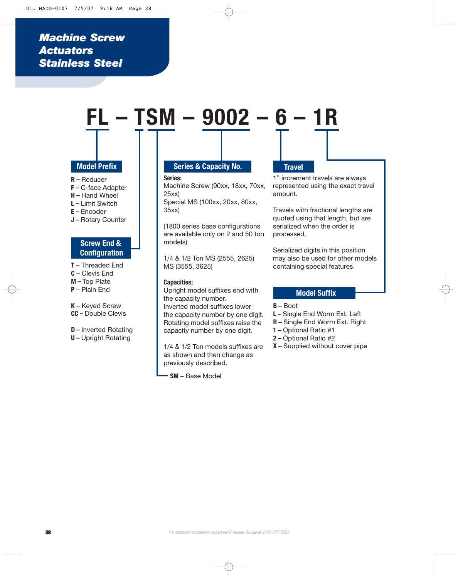# *Machine Screw Machine Screw Actuators Actuators Stainless Steel Stainless Steel*

# **FL – TSM – 9002 – 6 – 1R**

#### **Model Prefix**

- **R** Reducer
- **F** C-face Adapter
- **H** Hand Wheel
- **L** Limit Switch
- **E** Encoder
- **J** Rotary Counter

#### **Screw End & Configuration**

- **T** Threaded End
- **C** Clevis End
- **M** Top Plate
- **P** Plain End

**K** – Keyed Screw **CC –** Double Clevis

**D –** Inverted Rotating **U –** Upright Rotating

#### **Series & Capacity No. <b>Travel**

#### **Series:** Machine Screw (90xx, 18xx, 70xx,

25xx) Special MS (100xx, 20xx, 80xx, 35xx)

(1800 series base configurations are available only on 2 and 50 ton models)

1/4 & 1/2 Ton MS (2555, 2625) MS (3555, 3625)

#### **Capacities:**

Upright model suffixes end with the capacity number. Inverted model suffixes lower the capacity number by one digit. Rotating model suffixes raise the capacity number by one digit.

1/4 & 1/2 Ton models suffixes are as shown and then change as previously described.

**SM** – Base Model

1" increment travels are always represented using the exact travel amount.

Travels with fractional lengths are quoted using that length, but are serialized when the order is processed.

Serialized digits in this position may also be used for other models containing special features.

### **Model Suffix**

- **B** Boot
- **L** Single End Worm Ext. Left
- **R** Single End Worm Ext. Right
- **1** Optional Ratio #1
- **2** Optional Ratio #2
- **X** Supplied without cover pipe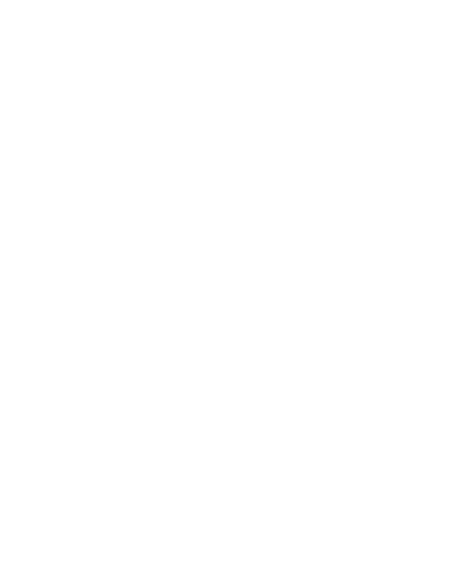| Capacity (Tons) - 17-4PH Worm                   |                       | $\overline{2}$ | 5              | 10 <sub>1</sub>          | 15                       | 20                       | 25                       | 35          | 50                       | 100                      |
|-------------------------------------------------|-----------------------|----------------|----------------|--------------------------|--------------------------|--------------------------|--------------------------|-------------|--------------------------|--------------------------|
| Capacity (Tons) - 316 SS Worm                   |                       | 0.67           | 1.66           | 3.33                     | 5.00                     | 6.66                     | 8.33                     | 11.66       | 16.66                    | 33.33                    |
|                                                 | Diameter (in)         |                | 11/2           | 2                        | 21/4                     | 21/2                     | 3                        | 33/4        | 4 1/2                    | 6                        |
| <b>Lifting Screw</b>                            | Pitch (in)            | 0.250          | 0.375          | 0.500                    | 0.500                    | 0.500                    | 0.666                    | 0.666       | 0.666                    | 0.750                    |
|                                                 | Type                  | <b>ACME</b>    | <b>ACME</b>    | <b>ACME</b>              | <b>ACME</b>              | <b>ACME</b>              | <b>ACME</b>              | <b>ACME</b> | Mod. Sq.                 | Mod. Sq.                 |
|                                                 | Std.                  | 6:1            | 6:1            | 8:1                      | 8:1                      | 8:1                      | 10 2/3:1                 | 10 2/3:1    | 10 2/3:1                 | 12:1                     |
| <b>Worm Gear Ratios</b>                         | Optional No. 1        | 24:1           | 24:1           | 24:1                     | 24:1                     | 24:1                     | 32:1                     | 32:1        | 32:1                     | 36:1                     |
|                                                 | Optional No. 2        | 12:1           | 12:1           | —                        |                          | —                        |                          |             | $\overline{\phantom{0}}$ |                          |
|                                                 | Std.                  | 24             | 16             | 16                       | 16                       | 16                       | 16                       | 16          | 16                       | 16                       |
| Turns of Worm for 1" Raise                      | <b>Optional No. 1</b> | 96             | 64             | 48                       | 48                       | 48                       | 48                       | 48          | 48                       | 48                       |
|                                                 | <b>Optional No. 2</b> | 48             | 32             | —                        | $\overline{\phantom{0}}$ | —                        | $\overline{\phantom{0}}$ | —           | —                        | —                        |
|                                                 | Std.                  | 5              | 10             | 20                       | 20                       | 30                       | 40                       | 50          | 100                      | 200                      |
| Worm Torque at No Load (in-Ib)                  | Optional No. 1        | 5              | 10             | 20                       | 20                       | 30                       | 40                       | 50          | 100                      | 200                      |
|                                                 | <b>Optional No. 2</b> | 5              | 10             | -                        | —                        |                          | $\overline{\phantom{0}}$ |             |                          |                          |
| Maximum Horsepower per                          | Std.                  | $\overline{2}$ | 4              | 5                        | 5                        | 5                        | 8                        | 8           | 15                       | 25                       |
| <b>Actuator</b>                                 | <b>Optional No. 1</b> | 1/2            | 3/4            | 11/2                     | 11/2                     | 11/2                     | 21/2                     | 21/2        | 6                        | 11                       |
|                                                 | <b>Optional No. 2</b> | 3/4            | $\overline{2}$ | -                        | -                        | $\overline{\phantom{0}}$ | —                        |             |                          |                          |
| Worm Torque at Full load (in-lb)<br>17-4PH Worm | Std.                  | 120            | 450            | 750                      | 1430                     | 2050                     | 2700                     | 4000        | 7500                     | 16000                    |
|                                                 | <b>Optional No. 1</b> | 50             | 185            | 400                      | 820                      | 1170                     | 1700                     | 2400        | 4200                     | 8600                     |
|                                                 | <b>Optional No. 2</b> | 75             | 275            |                          |                          |                          |                          |             |                          |                          |
| Worm Torque at Full load (in-lb)                | Std.                  | 43             | 156            | 263                      | 490                      | 703                      | 926                      | 1366        | 2566                     | 5466                     |
| 316SS Worm                                      | Optional No. 1        | 20             | 68             | 147                      | 287                      | 410                      | 593                      | 833         | 1466                     | 3000                     |
|                                                 | <b>Optional No. 2</b> | 28             | 98             |                          | $\overline{\phantom{0}}$ | $\overline{\phantom{0}}$ |                          |             |                          |                          |
|                                                 | Std.                  | 20.4           | 21.2           | 25.2                     | 20.3                     | 18.9                     | 17.9                     | 17.0        | 12.9                     | 12.1                     |
| <b>Efficiency Rating (%)</b>                    | Optional No. 1        | 11.1           | 12.1           | 15.1                     | 11.6                     | 10.8                     | 9.3                      | 9.3         | 7.5                      | 7.4                      |
|                                                 | <b>Optional No. 2</b> | 15.6           | 16.8           | $\overline{\phantom{0}}$ | $\overline{\phantom{0}}$ | $\overline{\phantom{0}}$ | $\overline{\phantom{0}}$ | —           | $\overline{\phantom{0}}$ | $\overline{\phantom{0}}$ |
| Weight with 6" Raise (lb)                       |                       | 17             | 35             | 52                       | 66                       | 93                       | 160                      | 240         | 410                      | 1200                     |
| Weight per Additional 1" Raise (lb)             |                       | 0.3            | 0.9            | 1.4                      | 1.5                      | 2.6                      | 2.5                      | 3.7         | 5.5                      | 9.0                      |
| Key Torque (in-Ib)                              | 153                   | 581            | 1565           | 2527                     | 3538                     | 4665                     | 8828                     | 15697       | 39396                    |                          |
| Max Worm Speed at Full Load                     | Std.                  | 1750           | 1615           | 1198                     | 643                      | 449                      | 544                      | 369         | 368                      | 288                      |
| (rpm)                                           | <b>Optional No. 1</b> | 1576           | 694            | 645                      | 330                      | 231                      | 266                      | 189         | 258                      | 231                      |
|                                                 | <b>Optional No. 2</b> | 1669           | 1286           |                          |                          |                          |                          |             |                          |                          |
| Max Load at Full Horsepower and                 | Std.                  | 1333           | 3047           | 4386                     | 3406                     | 2972                     | 4664                     | 4220        | 5949                     | 8865                     |
| 1750 rpm (lb)                                   | Optional No. 1        | 1156           | 972            | 1791                     | 1276                     | 843                      | 1507                     | 1192        | 2831                     | 4671                     |
|                                                 | <b>Optional No. 2</b> | 1258           | 2339           |                          |                          |                          |                          |             |                          |                          |

#### **Stainless Steel Actuator Performance Specifications**

For loads from 25% to 100% of actuator capacity, torque requirements are approximately proportional to the load.

**Note: Contact Duff-Norton Customer Service for motorized performance.**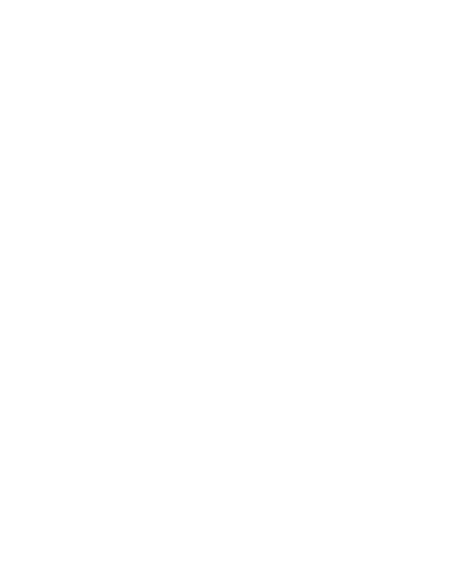**2 to 100 Ton Capacity**



| 17 - 4 PH        |                             | 316 SS           |       |       |                |      |             |      |       |      |               |       |       |      |       |
|------------------|-----------------------------|------------------|-------|-------|----------------|------|-------------|------|-------|------|---------------|-------|-------|------|-------|
| Worm Cap.        | <b>Worm Capacity (Tons)</b> |                  | A     | B     | c.             | D    | E.          | F.   | G.    | н    |               | κ     |       | M    | N     |
| (Tons)           | <b>Sustaining</b>           | <b>Operating</b> |       |       |                |      | $(+/-.005)$ |      |       |      | (+.000/-.002) |       |       |      |       |
| 2 (1800 Series)  |                             | .67              | 5.50  | 4.56  | Travel         | .50  | .750        | .66  | 4.25  | .50  | .500          | 3.00  | 6.00  | .00  | 2.00  |
| 2 (9000 Series)  |                             | .67              | 5.50  | 4.56  | Travel         | .50  | .750        | .66  | 4.25  | .50  | .500          | .56   | 3.13  | .93  | 5.25  |
|                  |                             | 1.66             | 7.50  | 5.88  | Travel         | .50  | 2.250       | 2.38 | 4.50  | .60  | .749          | 2.25  | 4.50  | 2.25 | 6.50  |
| 10               | 10                          | 3.33             | 7.75  | 5.62  | Travel $+3/8$  | .50  | 2.250       | 2.88 | 5.75  | .94  | 1.000         | 2.88  | 5.75  | 2.00 | 7.00  |
| 15               | 15                          | 5.00             | 8.00  | 6.31  | Travel $+9/16$ | .63  | 2.750       | 2.88 | 5.75  | .94  | 1.000         | 3.00  | 6.00  | 2.50 | 7.50  |
| 20               | 20                          | 6.66             | 10.25 | 7.13  | Travel $+1/2$  | .75  | 3.250       | 3.50 | 5.75  | .94  | 1.000         | 3.00  | 6.00  | 3.00 | 8.75  |
| 25               | 25                          | 8.33             | 11.75 | 9.75  | Travel + 1/4   | 1.00 | 4.000       | 4.50 | 8.50  | .94  | 1.375         | 3.75  | 7.50  | 3.75 | 11.00 |
| 35               | 35                          | 11.66            | 12.50 | 9.56  | Travel + 1/4   | 1.25 | 4.000       | 4.50 | 10.50 | 1.31 | 1.375         | 3.75  | 7.50  | 4.50 | 12.50 |
| 50 (1800 Series) | 50                          | 16.66            | 13.50 | 11.38 | Travel + 5/8   | 1.25 | 4.750       | 5.63 | 11.25 | 1.25 | .500          | 8.00  | 16.00 | 3.00 | 6.00  |
| 100              | 100                         | 33.33            | 24.00 | 18.50 | Travel $+1/2$  | .50  | 6.000       | 7.00 | 14.00 | 2.94 | .750          | 10.00 | 20.00 | 5.75 | 16.26 |

Dimensions are subject to change without notice.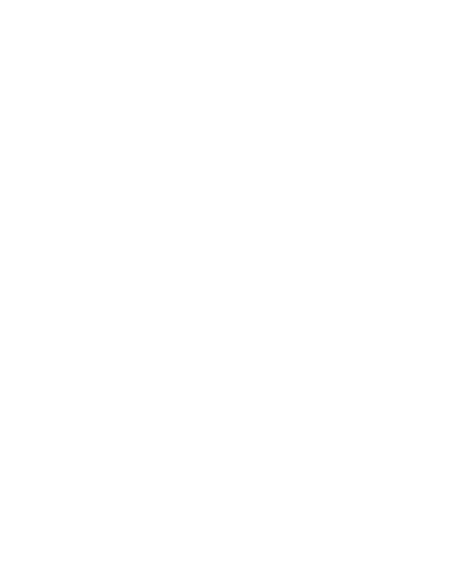# **2 to 100 Ton Capacity**





| P     | Q     | R.   | <b>S</b> |       |       | v    | W                       | X    |       | Z.  | a    | $\mathbf b$ | Keyseat                | <b>Lifting Screw</b><br>(Dia./Pitch) |
|-------|-------|------|----------|-------|-------|------|-------------------------|------|-------|-----|------|-------------|------------------------|--------------------------------------|
| 3.50  | 7.00  | 1.75 | 3.50     | 3.50  | 7.00  | .12  | $.702 + .003/-.000$     | .41  | 3.00  | .41 | .75  | .5          | .125 x .060 x 1.00 LG. | $1.00 \times .250$                   |
| 2.06  | 4.13  | 2.42 | 6.25     | 3.50  | 7.00  | .12  | $.702 + .003/- .000$    | .41  | 3.00  | .41 | .88  | .38         | .125 x .060 x 1.00 LG. | $1.00 \times .250$                   |
| 3.00  | 6.00  | 3.00 | 8.00     | 4.50  | 9.00  | .50  | $2.188 + 0.002/-000$    | .69  | 3.00  | .69 | 1.19 | .75         | .188 x .094 x 1.25 LG. | 1.50 x .375                          |
| 3.75  | 7.50  | 2.88 | 8.75     | 5.50  | 11.00 | .80  | $2.598 + 0.003/-000$    | .81  | 4.13  | .81 | .31  | .88         | .250 x .125 x 1.50 LG. | $2.00 \times .500$                   |
| 3.88  | 7.75  | 3.38 | 9.25     | 5.50  | 11.00 | .80  | $2.598 + 0.003/- 0.000$ | .81  | 4.13  | .81 | 1.38 | .88         | .250 x .125 x 1.50 LG. | $2.25 \times .500$                   |
| 4.13  | 8.25  | 4.13 | 11.00    | 5.50  | 11.00 | .50  | $2.598 + 0.003/-000$    | .81  | 4.13  | .12 | 1.75 | 1.13        | .250 x .125 x 1.50 LG. | $2.50 \times .500$                   |
| 5.13  | 10.25 | 5.13 | 13.75    | 7.00  | 14.00 | 2.30 | $3.750 + 0.006/-000$    | 0.06 | 6.00  | .38 | 2.13 | 1.38        | .313 x .156 x 2.00 LG. | $3.00 \times .666$                   |
| 5.13  | 10.25 | 6.00 | 15.50    | 7.00  | 14.00 | 2.10 | $3.750 + 0.006/- 0.000$ | .62  | 7.75  | .62 | 2.63 | 1.38        | .313 x .156 x 2.00 LG. | $3.75 \times .666$                   |
| 9.88  | 19.75 | 4.88 | 9.75     | 11.00 | 22.00 | 4.40 | $5.313 + 0.003/-000$    | .38  | 8.75  | .88 | 3.25 | 1.88        | .375 x .188 x 2.25 LG. | $4.50 \times .666$                   |
| 12.25 | 24.50 | 8.00 | 20.75    | 11.50 | 23.00 | 3.40 | $7.500 + 0.003/- 0.000$ | .88  | 11.00 | .88 | 3.50 | 2.25        | .500 x .250 x 3.00 LG. | $6.00 \times .750$                   |

Dimensions are subject to change without notice.